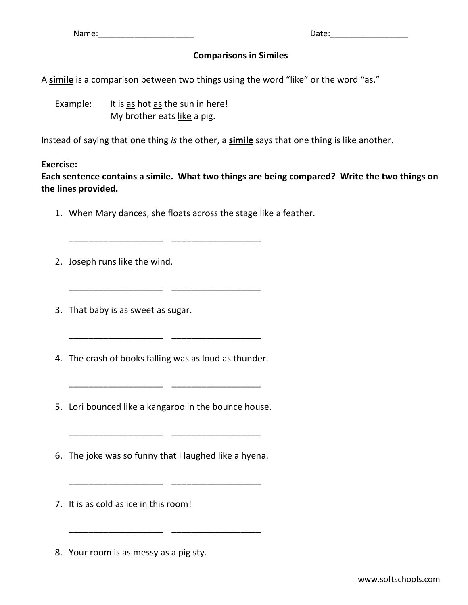Name:\_\_\_\_\_\_\_\_\_\_\_\_\_\_\_\_\_\_\_\_\_ Date:\_\_\_\_\_\_\_\_\_\_\_\_\_\_\_\_\_

## **Comparisons in Similes**

A **simile** is a comparison between two things using the word "like" or the word "as."

Example: It is  $\frac{as}{\text{hot}}$  as the sun in here! My brother eats like a pig.

\_\_\_\_\_\_\_\_\_\_\_\_\_\_\_\_\_\_\_ \_\_\_\_\_\_\_\_\_\_\_\_\_\_\_\_\_\_

Instead of saying that one thing *is* the other, a **simile** says that one thing is like another.

## **Exercise:**

**Each sentence contains a simile. What two things are being compared? Write the two things on the lines provided.**

1. When Mary dances, she floats across the stage like a feather.

\_\_\_\_\_\_\_\_\_\_\_\_\_\_\_\_\_\_\_ \_\_\_\_\_\_\_\_\_\_\_\_\_\_\_\_\_\_

\_\_\_\_\_\_\_\_\_\_\_\_\_\_\_\_\_\_\_ \_\_\_\_\_\_\_\_\_\_\_\_\_\_\_\_\_\_

\_\_\_\_\_\_\_\_\_\_\_\_\_\_\_\_\_\_\_ \_\_\_\_\_\_\_\_\_\_\_\_\_\_\_\_\_\_

- 2. Joseph runs like the wind.
- 3. That baby is as sweet as sugar.
- 4. The crash of books falling was as loud as thunder.

\_\_\_\_\_\_\_\_\_\_\_\_\_\_\_\_\_\_\_ \_\_\_\_\_\_\_\_\_\_\_\_\_\_\_\_\_\_

- 5. Lori bounced like a kangaroo in the bounce house.
- 6. The joke was so funny that I laughed like a hyena.

\_\_\_\_\_\_\_\_\_\_\_\_\_\_\_\_\_\_\_ \_\_\_\_\_\_\_\_\_\_\_\_\_\_\_\_\_\_

\_\_\_\_\_\_\_\_\_\_\_\_\_\_\_\_\_\_\_ \_\_\_\_\_\_\_\_\_\_\_\_\_\_\_\_\_\_

- 7. It is as cold as ice in this room!
- 8. Your room is as messy as a pig sty.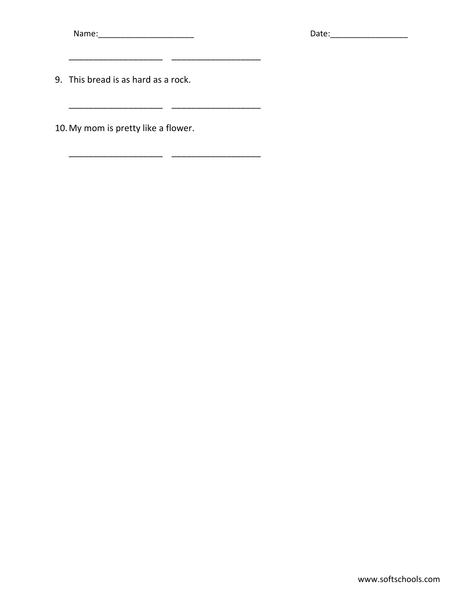9. This bread is as hard as a rock.

\_\_\_\_\_\_\_\_\_\_\_\_\_\_\_\_\_\_\_ \_\_\_\_\_\_\_\_\_\_\_\_\_\_\_\_\_\_

\_\_\_\_\_\_\_\_\_\_\_\_\_\_\_\_\_\_\_ \_\_\_\_\_\_\_\_\_\_\_\_\_\_\_\_\_\_

\_\_\_\_\_\_\_\_\_\_\_\_\_\_\_\_\_\_\_ \_\_\_\_\_\_\_\_\_\_\_\_\_\_\_\_\_\_

10.My mom is pretty like a flower.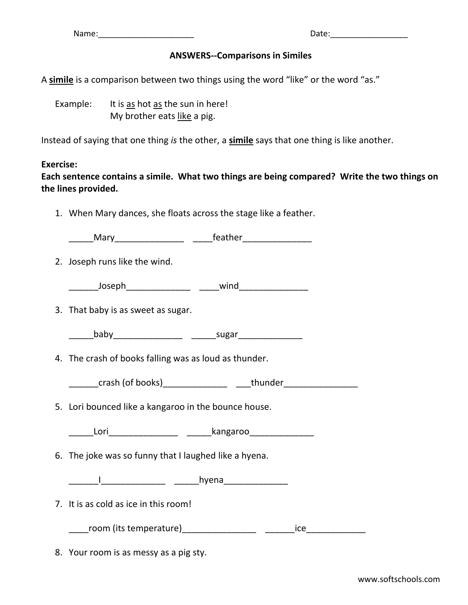## **ANSWERS--Comparisons in Similes**

A **simile** is a comparison between two things using the word "like" or the word "as."

Example: It is  $\frac{as}{\text{hot}}$  as the sun in here! My brother eats like a pig.

Instead of saying that one thing *is* the other, a **simile** says that one thing is like another.

## **Exercise:**

**Each sentence contains a simile. What two things are being compared? Write the two things on the lines provided.**

1. When Mary dances, she floats across the stage like a feather.

\_\_\_\_\_Mary\_\_\_\_\_\_\_\_\_\_\_\_\_\_ \_\_\_\_feather\_\_\_\_\_\_\_\_\_\_\_\_\_\_ 2. Joseph runs like the wind.  $\begin{array}{cccccccccccccc} \text{Joseph} & \text{wind} & \text{wind} \end{array}$ 3. That baby is as sweet as sugar. \_\_\_\_\_baby\_\_\_\_\_\_\_\_\_\_\_\_\_\_ \_\_\_\_\_sugar\_\_\_\_\_\_\_\_\_\_\_\_\_ 4. The crash of books falling was as loud as thunder. \_\_\_\_\_\_crash (of books)\_\_\_\_\_\_\_\_\_\_\_\_\_ \_\_\_thunder\_\_\_\_\_\_\_\_\_\_\_\_\_\_\_ 5. Lori bounced like a kangaroo in the bounce house. \_\_\_\_\_Lori\_\_\_\_\_\_\_\_\_\_\_\_\_\_ \_\_\_\_\_kangaroo\_\_\_\_\_\_\_\_\_\_\_\_\_ 6. The joke was so funny that I laughed like a hyena. \_\_\_\_\_\_I\_\_\_\_\_\_\_\_\_\_\_\_\_ \_\_\_\_\_hyena\_\_\_\_\_\_\_\_\_\_\_\_\_ 7. It is as cold as ice in this room! \_\_\_\_room (its temperature)\_\_\_\_\_\_\_\_\_\_\_\_\_\_\_ \_\_\_\_\_\_ice\_\_\_\_\_\_\_\_\_\_\_\_ 8. Your room is as messy as a pig sty.